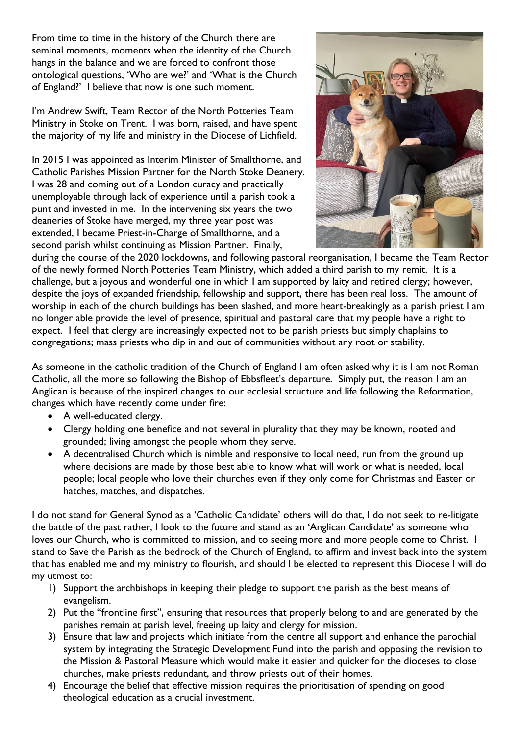From time to time in the history of the Church there are seminal moments, moments when the identity of the Church hangs in the balance and we are forced to confront those ontological questions, 'Who are we?' and 'What is the Church of England?' I believe that now is one such moment.

I'm Andrew Swift, Team Rector of the North Potteries Team Ministry in Stoke on Trent. I was born, raised, and have spent the majority of my life and ministry in the Diocese of Lichfield.

In 2015 I was appointed as Interim Minister of Smallthorne, and Catholic Parishes Mission Partner for the North Stoke Deanery. I was 28 and coming out of a London curacy and practically unemployable through lack of experience until a parish took a punt and invested in me. In the intervening six years the two deaneries of Stoke have merged, my three year post was extended, I became Priest-in-Charge of Smallthorne, and a second parish whilst continuing as Mission Partner. Finally,



during the course of the 2020 lockdowns, and following pastoral reorganisation, I became the Team Rector of the newly formed North Potteries Team Ministry, which added a third parish to my remit. It is a challenge, but a joyous and wonderful one in which I am supported by laity and retired clergy; however, despite the joys of expanded friendship, fellowship and support, there has been real loss. The amount of worship in each of the church buildings has been slashed, and more heart-breakingly as a parish priest I am no longer able provide the level of presence, spiritual and pastoral care that my people have a right to expect. I feel that clergy are increasingly expected not to be parish priests but simply chaplains to congregations; mass priests who dip in and out of communities without any root or stability.

As someone in the catholic tradition of the Church of England I am often asked why it is I am not Roman Catholic, all the more so following the Bishop of Ebbsfleet's departure. Simply put, the reason I am an Anglican is because of the inspired changes to our ecclesial structure and life following the Reformation, changes which have recently come under fire:

- A well-educated clergy.
- Clergy holding one benefice and not several in plurality that they may be known, rooted and grounded; living amongst the people whom they serve.
- A decentralised Church which is nimble and responsive to local need, run from the ground up where decisions are made by those best able to know what will work or what is needed, local people; local people who love their churches even if they only come for Christmas and Easter or hatches, matches, and dispatches.

I do not stand for General Synod as a 'Catholic Candidate' others will do that, I do not seek to re-litigate the battle of the past rather, I look to the future and stand as an 'Anglican Candidate' as someone who loves our Church, who is committed to mission, and to seeing more and more people come to Christ. I stand to Save the Parish as the bedrock of the Church of England, to affirm and invest back into the system that has enabled me and my ministry to flourish, and should I be elected to represent this Diocese I will do my utmost to:

- 1) Support the archbishops in keeping their pledge to support the parish as the best means of evangelism.
- 2) Put the "frontline first", ensuring that resources that properly belong to and are generated by the parishes remain at parish level, freeing up laity and clergy for mission.
- 3) Ensure that law and projects which initiate from the centre all support and enhance the parochial system by integrating the Strategic Development Fund into the parish and opposing the revision to the Mission & Pastoral Measure which would make it easier and quicker for the dioceses to close churches, make priests redundant, and throw priests out of their homes.
- 4) Encourage the belief that effective mission requires the prioritisation of spending on good theological education as a crucial investment.